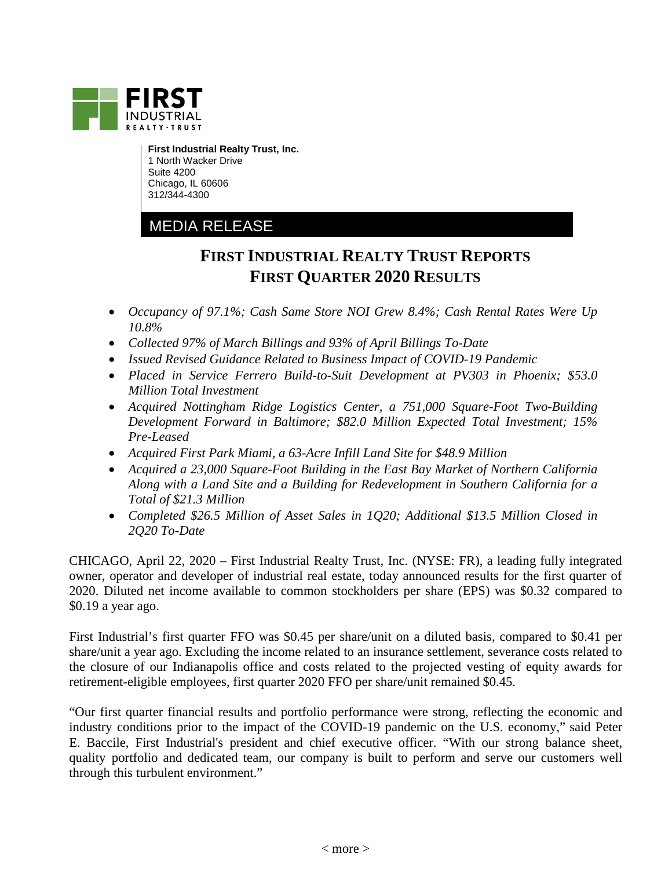

**First Industrial Realty Trust, Inc.** 1 North Wacker Drive Suite 4200 Chicago, IL 60606 312/344-4300

# MEDIA RELEASE

# **FIRST INDUSTRIAL REALTY TRUST REPORTS FIRST QUARTER 2020 RESULTS**

- *Occupancy of 97.1%; Cash Same Store NOI Grew 8.4%; Cash Rental Rates Were Up 10.8%*
- *Collected 97% of March Billings and 93% of April Billings To-Date*
- *Issued Revised Guidance Related to Business Impact of COVID-19 Pandemic*
- *Placed in Service Ferrero Build-to-Suit Development at PV303 in Phoenix; \$53.0 Million Total Investment*
- *Acquired Nottingham Ridge Logistics Center, a 751,000 Square-Foot Two-Building Development Forward in Baltimore; \$82.0 Million Expected Total Investment; 15% Pre-Leased*
- *Acquired First Park Miami, a 63-Acre Infill Land Site for \$48.9 Million*
- *Acquired a 23,000 Square-Foot Building in the East Bay Market of Northern California Along with a Land Site and a Building for Redevelopment in Southern California for a Total of \$21.3 Million*
- *Completed \$26.5 Million of Asset Sales in 1Q20; Additional \$13.5 Million Closed in 2Q20 To-Date*

CHICAGO, April 22, 2020 – First Industrial Realty Trust, Inc. (NYSE: FR), a leading fully integrated owner, operator and developer of industrial real estate, today announced results for the first quarter of 2020. Diluted net income available to common stockholders per share (EPS) was \$0.32 compared to \$0.19 a year ago.

First Industrial's first quarter FFO was \$0.45 per share/unit on a diluted basis, compared to \$0.41 per share/unit a year ago. Excluding the income related to an insurance settlement, severance costs related to the closure of our Indianapolis office and costs related to the projected vesting of equity awards for retirement-eligible employees, first quarter 2020 FFO per share/unit remained \$0.45.

"Our first quarter financial results and portfolio performance were strong, reflecting the economic and industry conditions prior to the impact of the COVID-19 pandemic on the U.S. economy," said Peter E. Baccile, First Industrial's president and chief executive officer. "With our strong balance sheet, quality portfolio and dedicated team, our company is built to perform and serve our customers well through this turbulent environment."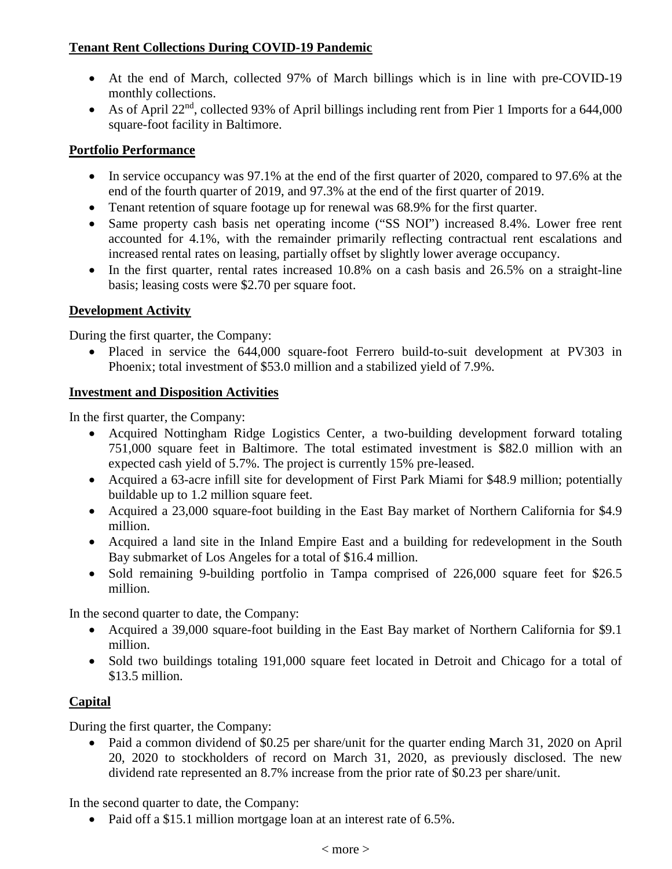# **Tenant Rent Collections During COVID-19 Pandemic**

- At the end of March, collected 97% of March billings which is in line with pre-COVID-19 monthly collections.
- As of April 22<sup>nd</sup>, collected 93% of April billings including rent from Pier 1 Imports for a 644,000 square-foot facility in Baltimore.

# **Portfolio Performance**

- In service occupancy was 97.1% at the end of the first quarter of 2020, compared to 97.6% at the end of the fourth quarter of 2019, and 97.3% at the end of the first quarter of 2019.
- Tenant retention of square footage up for renewal was 68.9% for the first quarter.
- Same property cash basis net operating income ("SS NOI") increased 8.4%. Lower free rent accounted for 4.1%, with the remainder primarily reflecting contractual rent escalations and increased rental rates on leasing, partially offset by slightly lower average occupancy.
- In the first quarter, rental rates increased 10.8% on a cash basis and 26.5% on a straight-line basis; leasing costs were \$2.70 per square foot.

# **Development Activity**

During the first quarter, the Company:

• Placed in service the 644,000 square-foot Ferrero build-to-suit development at PV303 in Phoenix; total investment of \$53.0 million and a stabilized yield of 7.9%.

# **Investment and Disposition Activities**

In the first quarter, the Company:

- Acquired Nottingham Ridge Logistics Center, a two-building development forward totaling 751,000 square feet in Baltimore. The total estimated investment is \$82.0 million with an expected cash yield of 5.7%. The project is currently 15% pre-leased.
- Acquired a 63-acre infill site for development of First Park Miami for \$48.9 million; potentially buildable up to 1.2 million square feet.
- Acquired a 23,000 square-foot building in the East Bay market of Northern California for \$4.9 million.
- Acquired a land site in the Inland Empire East and a building for redevelopment in the South Bay submarket of Los Angeles for a total of \$16.4 million.
- Sold remaining 9-building portfolio in Tampa comprised of 226,000 square feet for \$26.5 million.

In the second quarter to date, the Company:

- Acquired a 39,000 square-foot building in the East Bay market of Northern California for \$9.1 million.
- Sold two buildings totaling 191,000 square feet located in Detroit and Chicago for a total of \$13.5 million.

# **Capital**

During the first quarter, the Company:

• Paid a common dividend of \$0.25 per share/unit for the quarter ending March 31, 2020 on April 20, 2020 to stockholders of record on March 31, 2020, as previously disclosed. The new dividend rate represented an 8.7% increase from the prior rate of \$0.23 per share/unit.

In the second quarter to date, the Company:

• Paid off a \$15.1 million mortgage loan at an interest rate of 6.5%.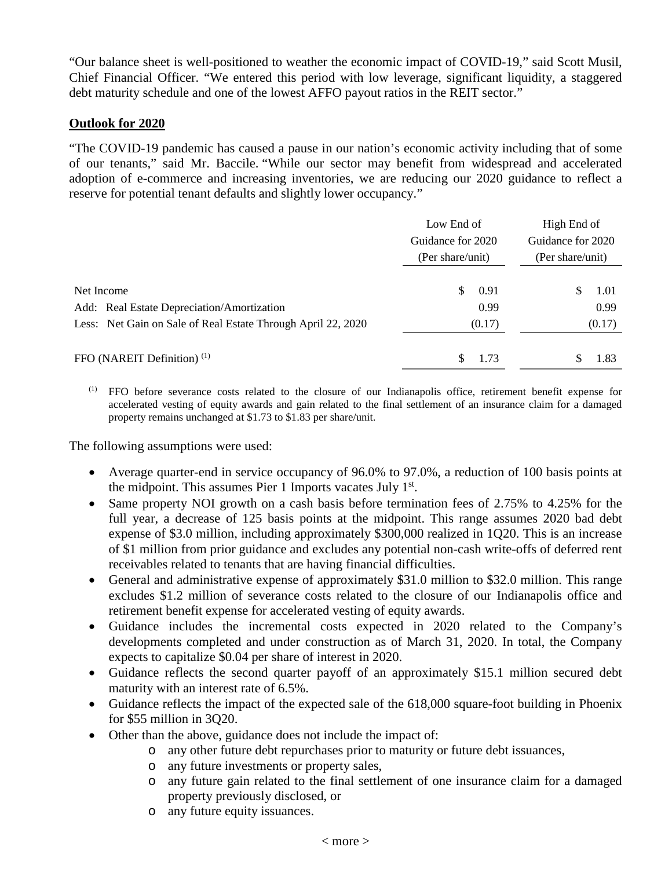"Our balance sheet is well-positioned to weather the economic impact of COVID-19," said Scott Musil, Chief Financial Officer. "We entered this period with low leverage, significant liquidity, a staggered debt maturity schedule and one of the lowest AFFO payout ratios in the REIT sector."

### **Outlook for 2020**

"The COVID-19 pandemic has caused a pause in our nation's economic activity including that of some of our tenants," said Mr. Baccile. "While our sector may benefit from widespread and accelerated adoption of e-commerce and increasing inventories, we are reducing our 2020 guidance to reflect a reserve for potential tenant defaults and slightly lower occupancy."

|                                                                                                                          | Low End of<br>Guidance for 2020<br>(Per share/unit) | High End of<br>Guidance for 2020<br>(Per share/unit) |
|--------------------------------------------------------------------------------------------------------------------------|-----------------------------------------------------|------------------------------------------------------|
| Net Income<br>Add: Real Estate Depreciation/Amortization<br>Less: Net Gain on Sale of Real Estate Through April 22, 2020 | 0.91<br>\$<br>0.99<br>(0.17)                        | 1.01<br>0.99<br>(0.17)                               |
| FFO (NAREIT Definition) <sup>(1)</sup>                                                                                   | 1.73<br>S                                           | 1.83<br>S                                            |

(1) FFO before severance costs related to the closure of our Indianapolis office, retirement benefit expense for accelerated vesting of equity awards and gain related to the final settlement of an insurance claim for a damaged property remains unchanged at \$1.73 to \$1.83 per share/unit.

The following assumptions were used:

- Average quarter-end in service occupancy of 96.0% to 97.0%, a reduction of 100 basis points at the midpoint. This assumes Pier 1 Imports vacates July 1st.
- Same property NOI growth on a cash basis before termination fees of 2.75% to 4.25% for the full year, a decrease of 125 basis points at the midpoint. This range assumes 2020 bad debt expense of \$3.0 million, including approximately \$300,000 realized in 1Q20. This is an increase of \$1 million from prior guidance and excludes any potential non-cash write-offs of deferred rent receivables related to tenants that are having financial difficulties.
- General and administrative expense of approximately \$31.0 million to \$32.0 million. This range excludes \$1.2 million of severance costs related to the closure of our Indianapolis office and retirement benefit expense for accelerated vesting of equity awards.
- Guidance includes the incremental costs expected in 2020 related to the Company's developments completed and under construction as of March 31, 2020. In total, the Company expects to capitalize \$0.04 per share of interest in 2020.
- Guidance reflects the second quarter payoff of an approximately \$15.1 million secured debt maturity with an interest rate of 6.5%.
- Guidance reflects the impact of the expected sale of the 618,000 square-foot building in Phoenix for \$55 million in 3Q20.
- Other than the above, guidance does not include the impact of:
	- o any other future debt repurchases prior to maturity or future debt issuances,
	- o any future investments or property sales,
	- o any future gain related to the final settlement of one insurance claim for a damaged property previously disclosed, or
	- o any future equity issuances.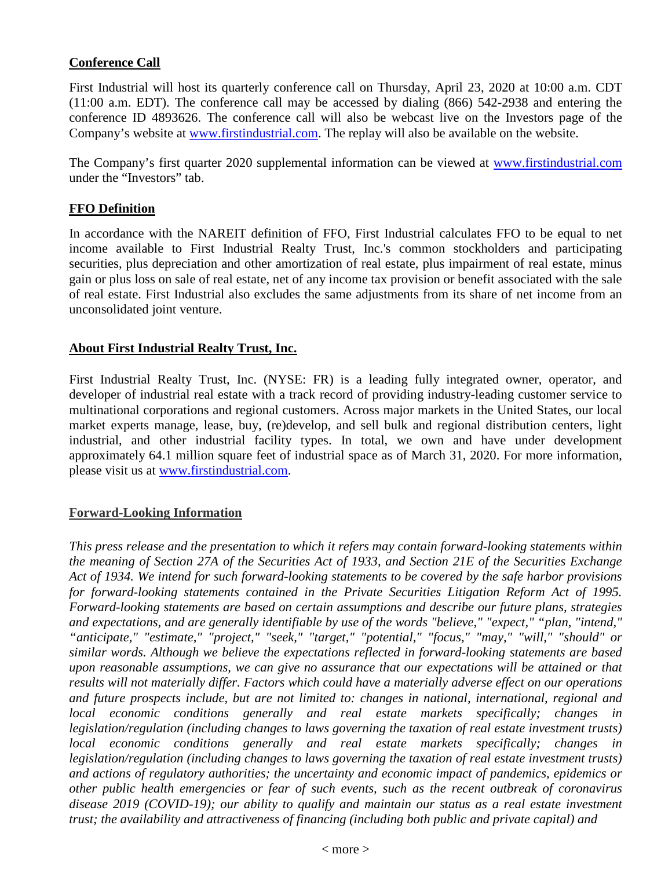### **Conference Call**

First Industrial will host its quarterly conference call on Thursday, April 23, 2020 at 10:00 a.m. CDT (11:00 a.m. EDT). The conference call may be accessed by dialing (866) 542-2938 and entering the conference ID 4893626. The conference call will also be webcast live on the Investors page of the Company's website at [www.firstindustrial.com.](http://www.firstindustrial.com/) The replay will also be available on the website.

The Company's first quarter 2020 supplemental information can be viewed at [www.firstindustrial.com](http://www.firstindustrial.com/) under the "Investors" tab.

#### **FFO Definition**

In accordance with the NAREIT definition of FFO, First Industrial calculates FFO to be equal to net income available to First Industrial Realty Trust, Inc.'s common stockholders and participating securities, plus depreciation and other amortization of real estate, plus impairment of real estate, minus gain or plus loss on sale of real estate, net of any income tax provision or benefit associated with the sale of real estate. First Industrial also excludes the same adjustments from its share of net income from an unconsolidated joint venture.

### **About First Industrial Realty Trust, Inc.**

First Industrial Realty Trust, Inc. (NYSE: FR) is a leading fully integrated owner, operator, and developer of industrial real estate with a track record of providing industry-leading customer service to multinational corporations and regional customers. Across major markets in the United States, our local market experts manage, lease, buy, (re)develop, and sell bulk and regional distribution centers, light industrial, and other industrial facility types. In total, we own and have under development approximately 64.1 million square feet of industrial space as of March 31, 2020. For more information, please visit us at [www.firstindustrial.com.](http://www.firstindustrial.com/)

#### **Forward-Looking Information**

*This press release and the presentation to which it refers may contain forward-looking statements within the meaning of Section 27A of the Securities Act of 1933, and Section 21E of the Securities Exchange Act of 1934. We intend for such forward-looking statements to be covered by the safe harbor provisions for forward-looking statements contained in the Private Securities Litigation Reform Act of 1995. Forward-looking statements are based on certain assumptions and describe our future plans, strategies and expectations, and are generally identifiable by use of the words "believe," "expect," "plan, "intend," "anticipate," "estimate," "project," "seek," "target," "potential," "focus," "may," "will," "should" or similar words. Although we believe the expectations reflected in forward-looking statements are based upon reasonable assumptions, we can give no assurance that our expectations will be attained or that results will not materially differ. Factors which could have a materially adverse effect on our operations and future prospects include, but are not limited to: changes in national, international, regional and local economic conditions generally and real estate markets specifically; changes in legislation/regulation (including changes to laws governing the taxation of real estate investment trusts) local economic conditions generally and real estate markets specifically; changes in legislation/regulation (including changes to laws governing the taxation of real estate investment trusts) and actions of regulatory authorities; the uncertainty and economic impact of pandemics, epidemics or other public health emergencies or fear of such events, such as the recent outbreak of coronavirus disease 2019 (COVID-19); our ability to qualify and maintain our status as a real estate investment trust; the availability and attractiveness of financing (including both public and private capital) and*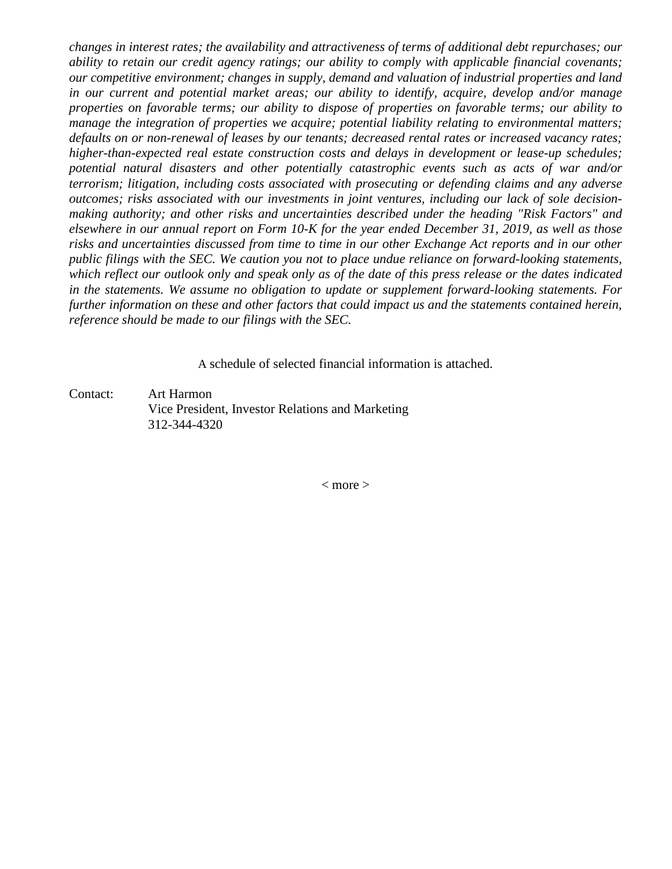*changes in interest rates; the availability and attractiveness of terms of additional debt repurchases; our ability to retain our credit agency ratings; our ability to comply with applicable financial covenants; our competitive environment; changes in supply, demand and valuation of industrial properties and land in our current and potential market areas; our ability to identify, acquire, develop and/or manage properties on favorable terms; our ability to dispose of properties on favorable terms; our ability to manage the integration of properties we acquire; potential liability relating to environmental matters; defaults on or non-renewal of leases by our tenants; decreased rental rates or increased vacancy rates; higher-than-expected real estate construction costs and delays in development or lease-up schedules; potential natural disasters and other potentially catastrophic events such as acts of war and/or terrorism; litigation, including costs associated with prosecuting or defending claims and any adverse outcomes; risks associated with our investments in joint ventures, including our lack of sole decisionmaking authority; and other risks and uncertainties described under the heading "Risk Factors" and elsewhere in our annual report on Form 10-K for the year ended December 31, 2019, as well as those risks and uncertainties discussed from time to time in our other Exchange Act reports and in our other public filings with the SEC. We caution you not to place undue reliance on forward-looking statements, which reflect our outlook only and speak only as of the date of this press release or the dates indicated in the statements. We assume no obligation to update or supplement forward-looking statements. For further information on these and other factors that could impact us and the statements contained herein, reference should be made to our filings with the SEC.*

A schedule of selected financial information is attached.

Contact: Art Harmon Vice President, Investor Relations and Marketing 312-344-4320

 $<$  more  $>$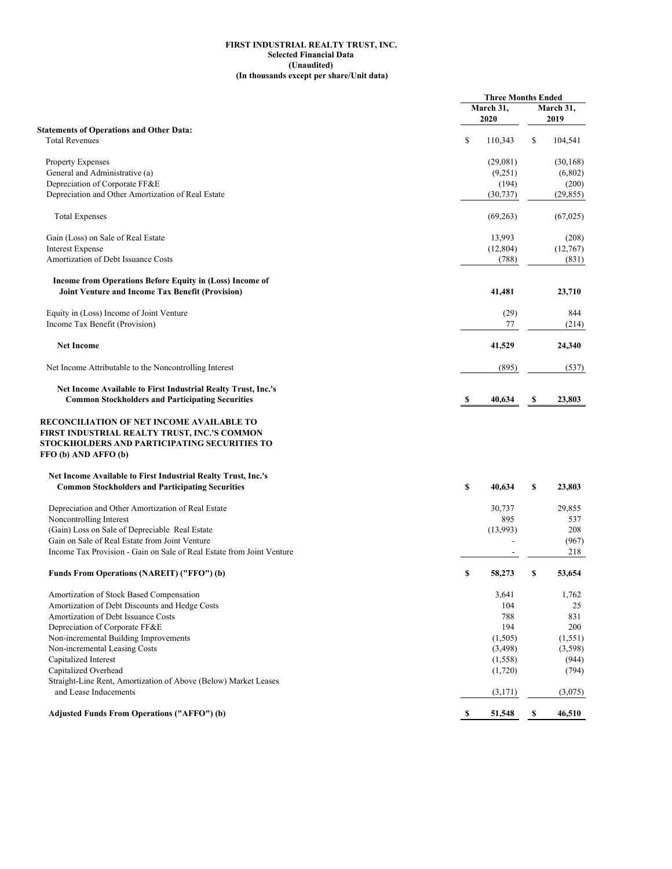#### **FIRST INDUSTRIAL REALTY TRUST, INC. Selected Financial Data (Unaudited) (In thousands except per share/Unit data)**

|                                                                                                                                                                   |               | <b>Three Months Ended</b> |           |
|-------------------------------------------------------------------------------------------------------------------------------------------------------------------|---------------|---------------------------|-----------|
|                                                                                                                                                                   | March 31,     |                           | March 31, |
|                                                                                                                                                                   | 2020          |                           | 2019      |
| <b>Statements of Operations and Other Data:</b>                                                                                                                   |               |                           |           |
| <b>Total Revenues</b>                                                                                                                                             | \$<br>110,343 | \$                        | 104,541   |
| <b>Property Expenses</b>                                                                                                                                          | (29,081)      |                           | (30, 168) |
| General and Administrative (a)                                                                                                                                    | (9,251)       |                           | (6,802)   |
| Depreciation of Corporate FF&E                                                                                                                                    | (194)         |                           | (200)     |
| Depreciation and Other Amortization of Real Estate                                                                                                                | (30, 737)     |                           | (29, 855) |
|                                                                                                                                                                   |               |                           |           |
| <b>Total Expenses</b>                                                                                                                                             | (69,263)      |                           | (67, 025) |
| Gain (Loss) on Sale of Real Estate                                                                                                                                | 13,993        |                           | (208)     |
| <b>Interest Expense</b>                                                                                                                                           | (12, 804)     |                           | (12,767)  |
| Amortization of Debt Issuance Costs                                                                                                                               | (788)         |                           | (831)     |
| Income from Operations Before Equity in (Loss) Income of                                                                                                          |               |                           |           |
| Joint Venture and Income Tax Benefit (Provision)                                                                                                                  | 41,481        |                           | 23,710    |
| Equity in (Loss) Income of Joint Venture                                                                                                                          | (29)          |                           | 844       |
| Income Tax Benefit (Provision)                                                                                                                                    | 77            |                           | (214)     |
|                                                                                                                                                                   |               |                           |           |
| <b>Net Income</b>                                                                                                                                                 | 41,529        |                           | 24,340    |
| Net Income Attributable to the Noncontrolling Interest                                                                                                            | (895)         |                           | (537)     |
| Net Income Available to First Industrial Realty Trust, Inc.'s                                                                                                     |               |                           |           |
| <b>Common Stockholders and Participating Securities</b>                                                                                                           | S<br>40,634   | S                         | 23,803    |
| RECONCILIATION OF NET INCOME AVAILABLE TO<br>FIRST INDUSTRIAL REALTY TRUST, INC.'S COMMON<br>STOCKHOLDERS AND PARTICIPATING SECURITIES TO<br>FFO (b) AND AFFO (b) |               |                           |           |
| Net Income Available to First Industrial Realty Trust, Inc.'s                                                                                                     |               |                           |           |
| <b>Common Stockholders and Participating Securities</b>                                                                                                           | \$<br>40,634  | S                         | 23,803    |
| Depreciation and Other Amortization of Real Estate                                                                                                                | 30,737        |                           | 29,855    |
| Noncontrolling Interest                                                                                                                                           | 895           |                           | 537       |
| (Gain) Loss on Sale of Depreciable Real Estate                                                                                                                    | (13,993)      |                           | 208       |
|                                                                                                                                                                   |               |                           |           |
| Gain on Sale of Real Estate from Joint Venture                                                                                                                    |               |                           | (967)     |
| Income Tax Provision - Gain on Sale of Real Estate from Joint Venture                                                                                             |               |                           | 218       |
| Funds From Operations (NAREIT) ("FFO") (b)                                                                                                                        | \$<br>58,273  | \$                        | 53,654    |
| Amortization of Stock Based Compensation                                                                                                                          | 3,641         |                           | 1,762     |
| Amortization of Debt Discounts and Hedge Costs                                                                                                                    | 104           |                           | 25        |
| Amortization of Debt Issuance Costs                                                                                                                               | 788           |                           | 831       |
| Depreciation of Corporate FF&E                                                                                                                                    | 194           |                           | 200       |
| Non-incremental Building Improvements                                                                                                                             | (1,505)       |                           | (1, 551)  |
| Non-incremental Leasing Costs                                                                                                                                     | (3,498)       |                           | (3,598)   |
| Capitalized Interest                                                                                                                                              | (1,558)       |                           | (944)     |
| Capitalized Overhead                                                                                                                                              | (1,720)       |                           | (794)     |
| Straight-Line Rent, Amortization of Above (Below) Market Leases                                                                                                   |               |                           |           |
| and Lease Inducements                                                                                                                                             | (3,171)       |                           | (3,075)   |
|                                                                                                                                                                   |               |                           |           |
| <b>Adjusted Funds From Operations ("AFFO") (b)</b>                                                                                                                | 51,548<br>S   | S                         | 46,510    |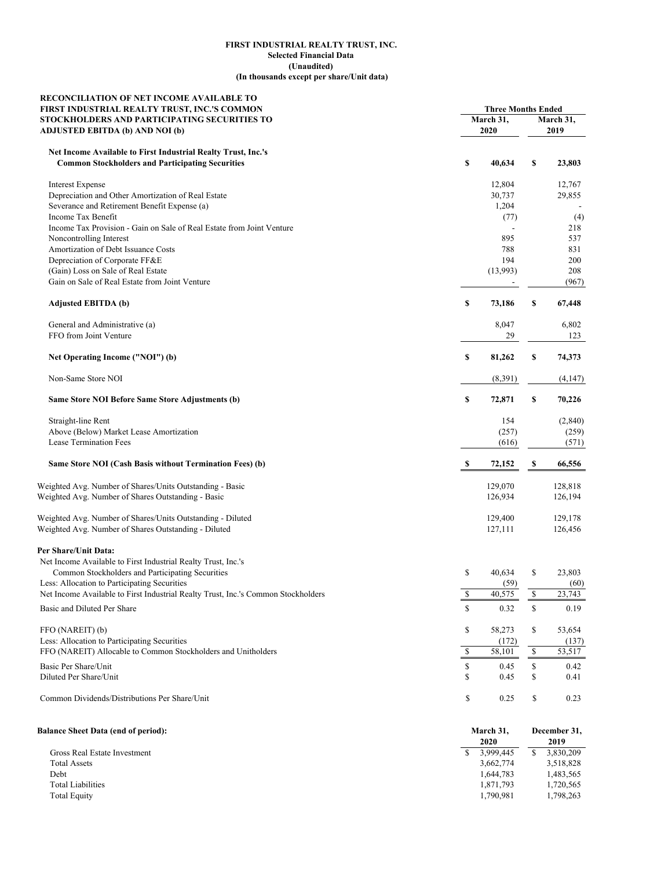#### **(Unaudited) (In thousands except per share/Unit data) FIRST INDUSTRIAL REALTY TRUST, INC. Selected Financial Data**

| RECONCILIATION OF NET INCOME AVAILABLE TO<br>FIRST INDUSTRIAL REALTY TRUST, INC.'S COMMON                                |                                                   | <b>Three Months Ended</b>                         |                   |  |
|--------------------------------------------------------------------------------------------------------------------------|---------------------------------------------------|---------------------------------------------------|-------------------|--|
| STOCKHOLDERS AND PARTICIPATING SECURITIES TO<br>ADJUSTED EBITDA (b) AND NOI (b)                                          | March 31,<br>2020                                 |                                                   | March 31,<br>2019 |  |
| Net Income Available to First Industrial Realty Trust, Inc.'s<br><b>Common Stockholders and Participating Securities</b> | \$<br>40,634                                      | \$                                                | 23,803            |  |
| <b>Interest Expense</b>                                                                                                  | 12,804                                            |                                                   | 12,767            |  |
| Depreciation and Other Amortization of Real Estate                                                                       | 30,737                                            |                                                   | 29,855            |  |
| Severance and Retirement Benefit Expense (a)                                                                             | 1,204                                             |                                                   |                   |  |
| Income Tax Benefit                                                                                                       | (77)                                              |                                                   | (4)               |  |
| Income Tax Provision - Gain on Sale of Real Estate from Joint Venture                                                    |                                                   |                                                   | 218               |  |
| Noncontrolling Interest                                                                                                  | 895                                               |                                                   | 537               |  |
| Amortization of Debt Issuance Costs                                                                                      | 788                                               |                                                   | 831               |  |
| Depreciation of Corporate FF&E                                                                                           | 194                                               |                                                   | 200               |  |
| (Gain) Loss on Sale of Real Estate                                                                                       | (13,993)                                          |                                                   | 208               |  |
| Gain on Sale of Real Estate from Joint Venture                                                                           |                                                   |                                                   | (967)             |  |
| Adjusted EBITDA (b)                                                                                                      | \$<br>73,186                                      | \$                                                | 67,448            |  |
| General and Administrative (a)                                                                                           | 8,047                                             |                                                   | 6,802             |  |
| FFO from Joint Venture                                                                                                   | 29                                                |                                                   | 123               |  |
| Net Operating Income ("NOI") (b)                                                                                         | \$<br>81,262                                      | \$                                                | 74,373            |  |
| Non-Same Store NOI                                                                                                       | (8,391)                                           |                                                   | (4,147)           |  |
| Same Store NOI Before Same Store Adjustments (b)                                                                         | \$<br>72,871                                      | \$                                                | 70,226            |  |
| Straight-line Rent                                                                                                       | 154                                               |                                                   | (2,840)           |  |
| Above (Below) Market Lease Amortization                                                                                  | (257)                                             |                                                   | (259)             |  |
| Lease Termination Fees                                                                                                   | (616)                                             |                                                   | (571)             |  |
| Same Store NOI (Cash Basis without Termination Fees) (b)                                                                 | S<br>72,152                                       | S                                                 | 66,556            |  |
| Weighted Avg. Number of Shares/Units Outstanding - Basic                                                                 | 129,070                                           |                                                   | 128,818           |  |
| Weighted Avg. Number of Shares Outstanding - Basic                                                                       | 126,934                                           |                                                   | 126,194           |  |
| Weighted Avg. Number of Shares/Units Outstanding - Diluted                                                               | 129,400                                           |                                                   | 129,178           |  |
| Weighted Avg. Number of Shares Outstanding - Diluted                                                                     | 127,111                                           |                                                   | 126,456           |  |
| Per Share/Unit Data:                                                                                                     |                                                   |                                                   |                   |  |
| Net Income Available to First Industrial Realty Trust, Inc.'s                                                            |                                                   |                                                   |                   |  |
| Common Stockholders and Participating Securities                                                                         | \$<br>40,634                                      | \$                                                | 23,803            |  |
| Less: Allocation to Participating Securities                                                                             | (59)                                              |                                                   | (60)              |  |
| Net Income Available to First Industrial Realty Trust, Inc.'s Common Stockholders<br>Basic and Diluted Per Share         | $\boldsymbol{\mathbb{S}}$<br>40,575<br>\$<br>0.32 | $\mathbb{S}% _{n}^{X\rightarrow\mathbb{R}}$<br>\$ | 23,743<br>0.19    |  |
|                                                                                                                          |                                                   |                                                   |                   |  |
| FFO (NAREIT) (b)                                                                                                         | \$<br>58,273                                      | \$                                                | 53,654            |  |
| Less: Allocation to Participating Securities                                                                             | (172)                                             |                                                   | (137)             |  |
| FFO (NAREIT) Allocable to Common Stockholders and Unitholders                                                            | \$<br>58,101                                      | \$                                                | 53,517            |  |
| Basic Per Share/Unit                                                                                                     | \$<br>0.45                                        | \$                                                | 0.42              |  |
| Diluted Per Share/Unit                                                                                                   | \$<br>0.45                                        | \$                                                | 0.41              |  |
| Common Dividends/Distributions Per Share/Unit                                                                            | \$<br>0.25                                        | \$                                                | 0.23              |  |
| <b>Balance Sheet Data (end of period):</b>                                                                               | March 31,                                         |                                                   | December 31,      |  |
|                                                                                                                          | 2020                                              |                                                   | 2019              |  |
| Groce Real Fetate Investment                                                                                             | 9.900445                                          |                                                   | \$3830200         |  |

Gross Real Estate Investment \$ 3,999,445 \$ 3,830,209<br>Total Assets 3,518,828 3,999,445 \$ 3,830,209 Total Assets 3,518,828 3,528,828 3,528,828 3,528,828 3,542,774 3,518,828 Debt 1,644,783 1,483,565 Total Liabilities 1,871,793 1,720,565 Total Equity 1,798,263 1,790,981